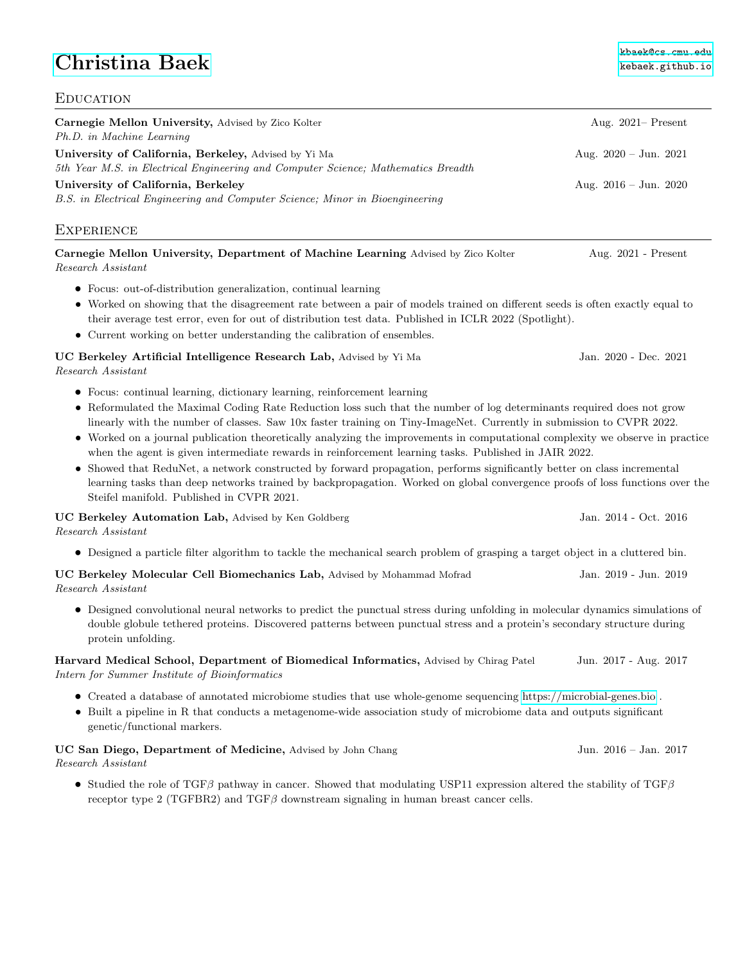# **[Christina Baek](http://kebaek.github.io/) [kebaek.github.io](http://kebaek.github.io/)**

# **EDUCATION** Carnegie Mellon University, Advised by Zico Kolter Aug. 2021– Present Ph.D. in Machine Learning University of California, Berkeley, Advised by Yi Ma Aug. 2020 – Jun. 2021 5th Year M.S. in Electrical Engineering and Computer Science; Mathematics Breadth University of California, Berkeley Aug. 2016 – Jun. 2020 B.S. in Electrical Engineering and Computer Science; Minor in Bioengineering **EXPERIENCE** Carnegie Mellon University, Department of Machine Learning Advised by Zico Kolter Aug. 2021 - Present Research Assistant • Focus: out-of-distribution generalization, continual learning • Worked on showing that the disagreement rate between a pair of models trained on different seeds is often exactly equal to their average test error, even for out of distribution test data. Published in ICLR 2022 (Spotlight). • Current working on better understanding the calibration of ensembles. UC Berkeley Artificial Intelligence Research Lab, Advised by Yi Ma Jan. 2020 - Dec. 2021 Research Assistant • Focus: continual learning, dictionary learning, reinforcement learning • Reformulated the Maximal Coding Rate Reduction loss such that the number of log determinants required does not grow linearly with the number of classes. Saw 10x faster training on Tiny-ImageNet. Currently in submission to CVPR 2022. • Worked on a journal publication theoretically analyzing the improvements in computational complexity we observe in practice when the agent is given intermediate rewards in reinforcement learning tasks. Published in JAIR 2022. • Showed that ReduNet, a network constructed by forward propagation, performs significantly better on class incremental learning tasks than deep networks trained by backpropagation. Worked on global convergence proofs of loss functions over the Steifel manifold. Published in CVPR 2021. UC Berkeley Automation Lab, Advised by Ken Goldberg Jan. 2014 - Oct. 2016 Research Assistant • Designed a particle filter algorithm to tackle the mechanical search problem of grasping a target object in a cluttered bin. UC Berkeley Molecular Cell Biomechanics Lab, Advised by Mohammad Mofrad Jan. 2019 - Jun. 2019 Research Assistant • Designed convolutional neural networks to predict the punctual stress during unfolding in molecular dynamics simulations of double globule tethered proteins. Discovered patterns between punctual stress and a protein's secondary structure during protein unfolding. Harvard Medical School, Department of Biomedical Informatics, Advised by Chirag Patel Jun. 2017 - Aug. 2017 Intern for Summer Institute of Bioinformatics • Created a database of annotated microbiome studies that use whole-genome sequencing<https://microbial-genes.bio> . • Built a pipeline in R that conducts a metagenome-wide association study of microbiome data and outputs significant genetic/functional markers. UC San Diego, Department of Medicine, Advised by John Chang Jun. 2016 – Jan. 2017 Research Assistant • Studied the role of TGFβ pathway in cancer. Showed that modulating USP11 expression altered the stability of TGFβ receptor type 2 (TGFBR2) and  $TGF\beta$  downstream signaling in human breast cancer cells.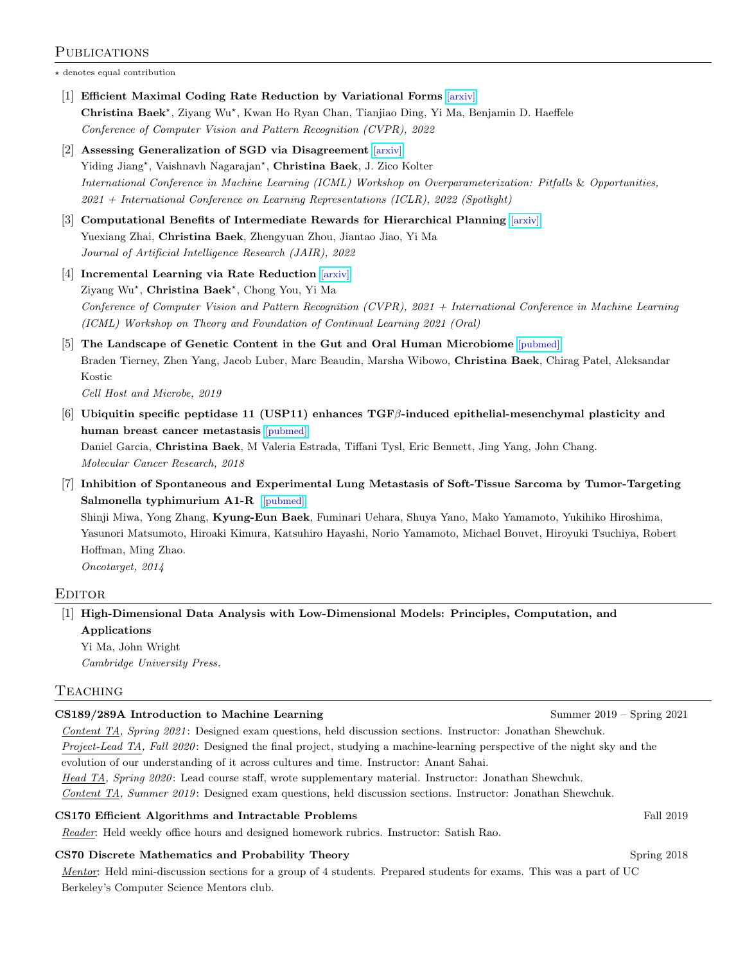### PUBLICATIONS

 $\star$  denotes equal contribution

- [1] Efficient Maximal Coding Rate Reduction by Variational Forms [\[arxiv\]](https://arxiv.org/abs/2204.00077) Christina Baek<sup>\*</sup>, Ziyang Wu<sup>\*</sup>, Kwan Ho Ryan Chan, Tianjiao Ding, Yi Ma, Benjamin D. Haeffele Conference of Computer Vision and Pattern Recognition (CVPR), 2022
- [2] Assessing Generalization of SGD via Disagreement [\[arxiv\]](https://arxiv.org/abs/2106.13799) Yiding Jiang<sup>\*</sup>, Vaishnavh Nagarajan<sup>\*</sup>, Christina Baek, J. Zico Kolter International Conference in Machine Learning (ICML) Workshop on Overparameterization: Pitfalls & Opportunities, 2021 + International Conference on Learning Representations (ICLR), 2022 (Spotlight)
- [3] Computational Benefits of Intermediate Rewards for Hierarchical Planning [\[arxiv\]](https://arxiv.org/abs/2107.03961) Yuexiang Zhai, Christina Baek, Zhengyuan Zhou, Jiantao Jiao, Yi Ma Journal of Artificial Intelligence Research (JAIR), 2022
- [4] Incremental Learning via Rate Reduction [\[arxiv\]](https://arxiv.org/abs/2011.14593) Ziyang Wu<sup>\*</sup>, Christina Baek<sup>\*</sup>, Chong You, Yi Ma Conference of Computer Vision and Pattern Recognition (CVPR), 2021 + International Conference in Machine Learning (ICML) Workshop on Theory and Foundation of Continual Learning 2021 (Oral)
- [5] The Landscape of Genetic Content in the Gut and Oral Human Microbiome [\[pubmed\]](https://pubmed.ncbi.nlm.nih.gov/31415755/) Braden Tierney, Zhen Yang, Jacob Luber, Marc Beaudin, Marsha Wibowo, Christina Baek, Chirag Patel, Aleksandar Kostic

Cell Host and Microbe, 2019

 $[6]$  Ubiquitin specific peptidase 11 (USP11) enhances TGF $\beta$ -induced epithelial-mesenchymal plasticity and human breast cancer metastasis [\[pubmed\]](https://pubmed.ncbi.nlm.nih.gov/29724812/) Daniel Garcia, Christina Baek, M Valeria Estrada, Tiffani Tysl, Eric Bennett, Jing Yang, John Chang.

Molecular Cancer Research, 2018

[7] Inhibition of Spontaneous and Experimental Lung Metastasis of Soft-Tissue Sarcoma by Tumor-Targeting Salmonella typhimurium A1-R [\[pubmed\]](https://pubmed.ncbi.nlm.nih.gov/25528763/)

Shinji Miwa, Yong Zhang, Kyung-Eun Baek, Fuminari Uehara, Shuya Yano, Mako Yamamoto, Yukihiko Hiroshima, Yasunori Matsumoto, Hiroaki Kimura, Katsuhiro Hayashi, Norio Yamamoto, Michael Bouvet, Hiroyuki Tsuchiya, Robert Hoffman, Ming Zhao.

Oncotarget, 2014

#### **EDITOR**

[1] High-Dimensional Data Analysis with Low-Dimensional Models: Principles, Computation, and Applications

Yi Ma, John Wright Cambridge University Press.

#### **TEACHING**

#### CS189/289A Introduction to Machine Learning Summer 2019 – Summer 2019 – Spring 2021

Content TA, Spring 2021: Designed exam questions, held discussion sections. Instructor: Jonathan Shewchuk. Project-Lead TA, Fall 2020: Designed the final project, studying a machine-learning perspective of the night sky and the

evolution of our understanding of it across cultures and time. Instructor: Anant Sahai.

Head TA, Spring 2020: Lead course staff, wrote supplementary material. Instructor: Jonathan Shewchuk.

Content TA, Summer 2019: Designed exam questions, held discussion sections. Instructor: Jonathan Shewchuk.

#### CS170 Efficient Algorithms and Intractable Problems Fall 2019 and Equation Fall 2019

Reader: Held weekly office hours and designed homework rubrics. Instructor: Satish Rao.

#### CS70 Discrete Mathematics and Probability Theory Spring 2018

Mentor: Held mini-discussion sections for a group of 4 students. Prepared students for exams. This was a part of UC Berkeley's Computer Science Mentors club.